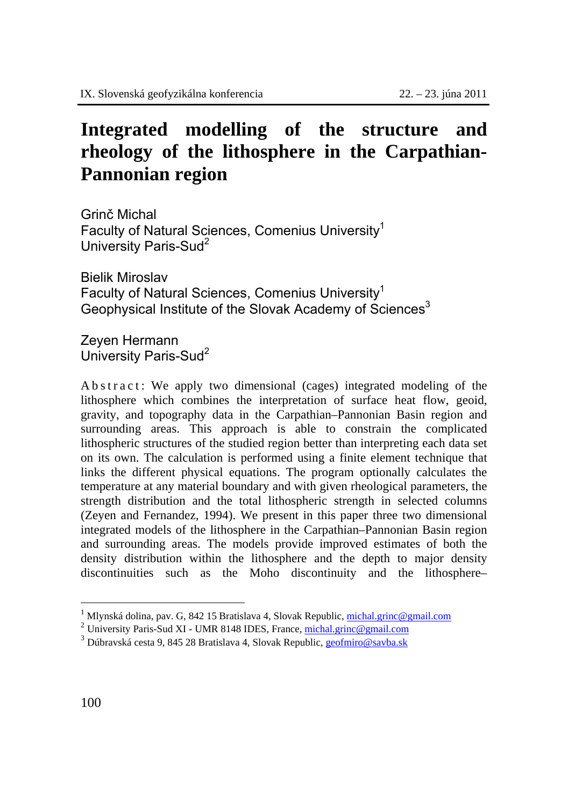## **Integrated modelling of the structure and rheology of the lithosphere in the Carpathian-Pannonian region**

Grinč Michal Faculty of Natural Sciences, Comenius University<sup>1</sup> University Paris-Sud<sup>2</sup>

Bielik Miroslav Faculty of Natural Sciences, Comenius University<sup>1</sup> Geophysical Institute of the Slovak Academy of Sciences<sup>3</sup>

Zeyen Hermann University Paris-Sud<sup>2</sup>

A b s t r a c t : We apply two dimensional (cages) integrated modeling of the lithosphere which combines the interpretation of surface heat flow, geoid, gravity, and topography data in the Carpathian–Pannonian Basin region and surrounding areas. This approach is able to constrain the complicated lithospheric structures of the studied region better than interpreting each data set on its own. The calculation is performed using a finite element technique that links the different physical equations. The program optionally calculates the temperature at any material boundary and with given rheological parameters, the strength distribution and the total lithospheric strength in selected columns (Zeyen and Fernandez, 1994). We present in this paper three two dimensional integrated models of the lithosphere in the Carpathian–Pannonian Basin region and surrounding areas. The models provide improved estimates of both the density distribution within the lithosphere and the depth to major density discontinuities such as the Moho discontinuity and the lithosphere–

 $\overline{a}$ 

<sup>&</sup>lt;sup>1</sup> Mlynská dolina, pav. G, 842 15 Bratislava 4, Slovak Republic, <u>michal.grinc@gmail.com</u>

<sup>&</sup>lt;sup>2</sup> University Paris-Sud XI - UMR 8148 IDES, France, michal.grinc@gmail.com

<sup>&</sup>lt;sup>3</sup> Dúbravská cesta 9, 845 28 Bratislava 4, Slovak Republic, geofmiro@savba.sk